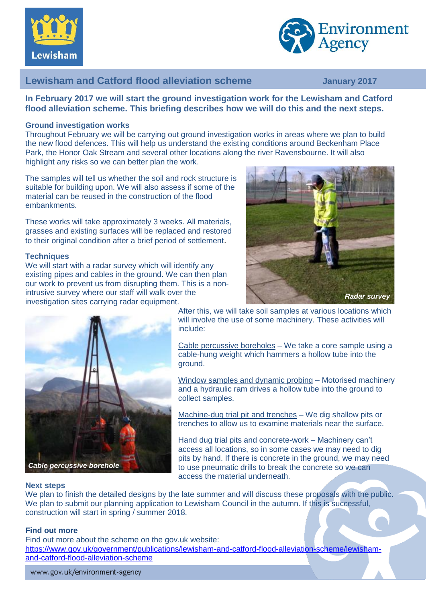



# **Lewisham and Catford flood alleviation scheme January 2017**

**In February 2017 we will start the ground investigation work for the Lewisham and Catford flood alleviation scheme. This briefing describes how we will do this and the next steps.**

# **Ground investigation works**

Throughout February we will be carrying out ground investigation works in areas where we plan to build the new flood defences. This will help us understand the existing conditions around Beckenham Place Park, the Honor Oak Stream and several other locations along the river Ravensbourne. It will also highlight any risks so we can better plan the work.

The samples will tell us whether the soil and rock structure is suitable for building upon. We will also assess if some of the material can be reused in the construction of the flood embankments.

These works will take approximately 3 weeks. All materials, grasses and existing surfaces will be replaced and restored to their original condition after a brief period of settlement.

## **Techniques**

We will start with a radar survey which will identify any existing pipes and cables in the ground. We can then plan our work to prevent us from disrupting them. This is a nonintrusive survey where our staff will walk over the investigation sites carrying radar equipment.





After this, we will take soil samples at various locations which will involve the use of some machinery. These activities will include:

Cable percussive boreholes – We take a core sample using a cable-hung weight which hammers a hollow tube into the ground.

Window samples and dynamic probing – Motorised machinery and a hydraulic ram drives a hollow tube into the ground to collect samples.

Machine-dug trial pit and trenches – We dig shallow pits or trenches to allow us to examine materials near the surface.

Hand dug trial pits and concrete-work – Machinery can't access all locations, so in some cases we may need to dig pits by hand. If there is concrete in the ground, we may need to use pneumatic drills to break the concrete so we can access the material underneath.

#### **Next steps**

We plan to finish the detailed designs by the late summer and will discuss these proposals with the public. We plan to submit our planning application to Lewisham Council in the autumn. If this is successful, construction will start in spring / summer 2018.

#### **Find out more**

Find out more about the scheme on the gov.uk website:

[https://www.gov.uk/government/publications/lewisham-and-catford-flood-alleviation-scheme/lewisham](https://www.gov.uk/government/publications/lewisham-and-catford-flood-alleviation-scheme/lewisham-and-catford-flood-alleviation-scheme)[and-catford-flood-alleviation-scheme](https://www.gov.uk/government/publications/lewisham-and-catford-flood-alleviation-scheme/lewisham-and-catford-flood-alleviation-scheme)

www.gov.uk/environment-agency